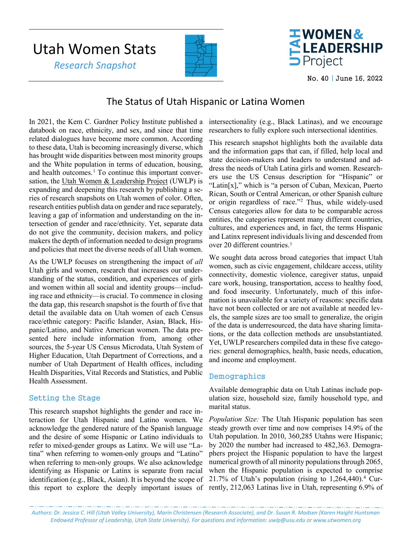# Utah Women Stats  *Research Snapshot*





No. 40 | June 16, 2022

## The Status of Utah Hispanic or Latina Women

In 2021, the Kem C. Gardner Policy Institute published a databook on race, ethnicity, and sex, and since that time related dialogues have become more common. According to these data, Utah is becoming increasingly diverse, which has brought wide disparities between most minority groups and the White population in terms of education, housing, and health outcomes. $<sup>1</sup>$  $<sup>1</sup>$  $<sup>1</sup>$  To continue this important conver-</sup> sation, the [Utah Women & Leadership Project](http://www.utwomen.org/) (UWLP) is expanding and deepening this research by publishing a series of research snapshots on Utah women of color. Often, research entities publish data on gender and race separately, leaving a gap of information and understanding on the intersection of gender and race/ethnicity. Yet, separate data do not give the community, decision makers, and policy makers the depth of information needed to design programs and policies that meet the diverse needs of all Utah women.

As the UWLP focuses on strengthening the impact of *all*  Utah girls and women, research that increases our understanding of the status, condition, and experiences of girls and women within all social and identity groups—including race and ethnicity—is crucial. To commence in closing the data gap, this research snapshot is the fourth of five that detail the available data on Utah women of each Census race/ethnic category: Pacific Islander, Asian, Black, Hispanic/Latino, and Native American women. The data presented here include information from, among other sources, the 5-year US Census Microdata, Utah System of Higher Education, Utah Department of Corrections, and a number of Utah Department of Health offices, including Health Disparities, Vital Records and Statistics, and Public Health Assessment.

## Setting the Stage

This research snapshot highlights the gender and race interaction for Utah Hispanic and Latino women. We acknowledge the gendered nature of the Spanish language and the desire of some Hispanic or Latino individuals to refer to mixed-gender groups as Latinx. We will use "Latina" when referring to women-only groups and "Latino" when referring to men-only groups. We also acknowledge identifying as Hispanic or Latinx is separate from racial identification (e.g., Black, Asian). It is beyond the scope of this report to explore the deeply important issues of

intersectionality (e.g., Black Latinas), and we encourage researchers to fully explore such intersectional identities.

This research snapshot highlights both the available data and the information gaps that can, if filled, help local and state decision-makers and leaders to understand and address the needs of Utah Latina girls and women. Researchers use the US Census description for "Hispanic" or "Latin[x]," which is "a person of Cuban, Mexican, Puerto Rican, South or Central American, or other Spanish culture or origin regardless of race."[2](#page-4-0) Thus, while widely-used Census categories allow for data to be comparable across entities, the categories represent many different countries, cultures, and experiences and, in fact, the terms Hispanic and Latinx represent individuals living and descended from over 20 different countries.<sup>[3](#page-4-1)</sup>

We sought data across broad categories that impact Utah women, such as civic engagement, childcare access, utility connectivity, domestic violence, caregiver status, unpaid care work, housing, transportation, access to healthy food, and food insecurity. Unfortunately, much of this information is unavailable for a variety of reasons: specific data have not been collected or are not available at needed levels, the sample sizes are too small to generalize, the origin of the data is underresourced, the data have sharing limitations, or the data collection methods are unsubstantiated. Yet, UWLP researchers compiled data in these five categories: general demographics, health, basic needs, education, and income and employment.

## Demographics

Available demographic data on Utah Latinas include population size, household size, family household type, and marital status.

*Population Size:* The Utah Hispanic population has seen steady growth over time and now comprises 14.9% of the Utah population. In 2010, 360,285 Utahns were Hispanic; by 2020 the number had increased to 482,363. Demographers project the Hispanic population to have the largest numerical growth of all minority populations through 2065, when the Hispanic population is expected to comprise 21.7% of Utah's population (rising to  $1,264,440$ ).<sup>4</sup> Currently, 212,063 Latinas live in Utah, representing 6.9% of

*Authors: Dr. Jessica C. Hill (Utah Valley University), Marin Christensen (Research Associate), and Dr. Susan R. Madsen (Karen Haight Huntsman Endowed Professor of Leadership, Utah State University). For questions and information[: uwlp@usu.edu](mailto:uwlp@usu.edu) or [www.utwomen.org](http://www.utwomen.org/)*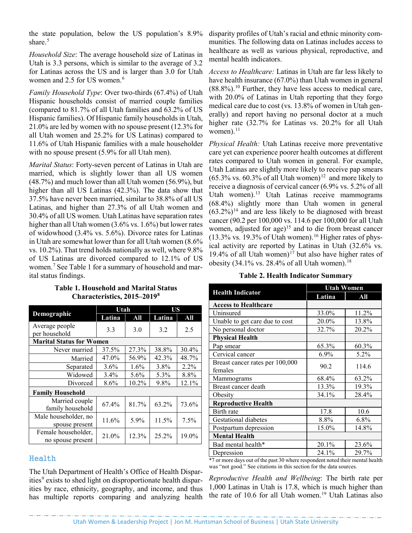the state population, below the US population's 8.9% share. [5](#page-4-3)

*Household Size*: The average household size of Latinas in Utah is 3.3 persons, which is similar to the average of 3.2 for Latinas across the US and is larger than 3.0 for Utah women and 2.5 for US women.<sup>[6](#page-4-4)</sup>

*Family Household Type*: Over two-thirds (67.4%) of Utah Hispanic households consist of married couple families (compared to 81.7% of all Utah families and 63.2% of US Hispanic families). Of Hispanic family households in Utah, 21.0% are led by women with no spouse present (12.3% for all Utah women and 25.2% for US Latinas) compared to 11.6% of Utah Hispanic families with a male householder with no spouse present (5.9% for all Utah men).

*Marital Status*: Forty-seven percent of Latinas in Utah are married, which is slightly lower than all US women (48.7%) and much lower than all Utah women (56.9%), but higher than all US Latinas (42.3%). The data show that 37.5% have never been married, similar to 38.8% of all US Latinas, and higher than 27.3% of all Utah women and 30.4% of all US women. Utah Latinas have separation rates higher than all Utah women (3.6% vs. 1.6%) but lower rates of widowhood (3.4% vs. 5.6%). Divorce rates for Latinas in Utah are somewhat lower than for all Utah women (8.6% vs. 10.2%). That trend holds nationally as well, where 9.8% of US Latinas are divorced compared to 12.1% of US women.[7](#page-4-5) See Table 1 for a summary of household and marital status findings.

|                                          | Utah   |         | US     |         |
|------------------------------------------|--------|---------|--------|---------|
| Demographic                              | Latina | All     | Latina | All     |
| Average people<br>per household          | 3.3    | 3.0     | 3.2    | 2.5     |
| <b>Marital Status for Women</b>          |        |         |        |         |
| Never married                            | 37.5%  | 27.3%   | 38.8%  | 30.4%   |
| Married                                  | 47.0%  | 56.9%   | 42.3%  | 48.7%   |
| Separated                                | 3.6%   | $1.6\%$ | 3.8%   | $2.2\%$ |
| Widowed                                  | 3.4%   | 5.6%    | 5.3%   | 8.8%    |
| Divorced                                 | 8.6%   | 10.2%   | 9.8%   | 12.1%   |
| <b>Family Household</b>                  |        |         |        |         |
| Married couple<br>family household       | 67.4%  | 81.7%   | 63.2%  | 73.6%   |
| Male householder, no<br>spouse present   | 11.6%  | 5.9%    | 11.5%  | $7.5\%$ |
| Female householder,<br>no spouse present | 21.0%  | 12.3%   | 25.2%  | 19.0%   |

#### **Table 1. Household and Marital Status Characteristics, 2015–2019[8](#page-4-6)**

## Health

The Utah Department of Health's Office of Health Dispar-ities<sup>[9](#page-4-7)</sup> exists to shed light on disproportionate health disparities by race, ethnicity, geography, and income, and thus has multiple reports comparing and analyzing health disparity profiles of Utah's racial and ethnic minority communities. The following data on Latinas includes access to healthcare as well as various physical, reproductive, and mental health indicators.

*Access to Healthcare:* Latinas in Utah are far less likely to have health insurance (67.0%) than Utah women in general  $(88.8\%)$ .<sup>[10](#page-4-8)</sup> Further, they have less access to medical care, with 20.0% of Latinas in Utah reporting that they forgo medical care due to cost (vs. 13.8% of women in Utah generally) and report having no personal doctor at a much higher rate (32.7% for Latinas vs. 20.2% for all Utah women). $^{11}$  $^{11}$  $^{11}$ 

*Physical Health:* Utah Latinas receive more preventative care yet can experience poorer health outcomes at different rates compared to Utah women in general. For example, Utah Latinas are slightly more likely to receive pap smears  $(65.3\% \text{ vs. } 60.3\% \text{ of all Utah women})^{12}$  $(65.3\% \text{ vs. } 60.3\% \text{ of all Utah women})^{12}$  $(65.3\% \text{ vs. } 60.3\% \text{ of all Utah women})^{12}$  and more likely to receive a diagnosis of cervical cancer (6.9% vs. 5.2% of all Utah women).[13](#page-4-11) Utah Latinas receive mammograms (68.4%) slightly more than Utah women in general  $(63.2\%)$ <sup>[14](#page-4-12)</sup> and are less likely to be diagnosed with breast cancer (90.2 per 100,000 vs. 114.6 per 100,000 for all Utah women, adjusted for age)<sup>[15](#page-4-13)</sup> and to die from breast cancer  $(13.3\% \text{ vs. } 19.3\% \text{ of Utah women})$ .<sup>[16](#page-4-14)</sup> Higher rates of physical activity are reported by Latinas in Utah (32.6% vs. 19.4% of all Utah women)<sup>[17](#page-4-15)</sup> but also have higher rates of obesity (34.1% vs. 28.4% of all Utah women).<sup>[18](#page-4-16)</sup>

#### **Table 2. Health Indicator Summary**

|                                 | <b>Utah Women</b> |         |  |
|---------------------------------|-------------------|---------|--|
| <b>Health Indicator</b>         | Latina            | All     |  |
| <b>Access to Healthcare</b>     |                   |         |  |
| Uninsured                       | 33.0%             | 11.2%   |  |
| Unable to get care due to cost  | 20.0%             | 13.8%   |  |
| No personal doctor              | 32.7%             | 20.2%   |  |
| <b>Physical Health</b>          |                   |         |  |
| Pap smear                       | 65.3%             | 60.3%   |  |
| Cervical cancer                 | $6.9\%$           | 5.2%    |  |
| Breast cancer rates per 100,000 | 90.2              | 114.6   |  |
| females                         |                   |         |  |
| Mammograms                      | 68.4%             | 63.2%   |  |
| Breast cancer death             | 13.3%             | 19.3%   |  |
| Obesity                         | 34.1%             | 28.4%   |  |
| <b>Reproductive Health</b>      |                   |         |  |
| Birth rate                      | 17.8              | 10.6    |  |
| Gestational diabetes            | 8.8%              | $6.8\%$ |  |
| Postpartum depression           | 15.0%             | 14.8%   |  |
| <b>Mental Health</b>            |                   |         |  |
| Bad mental health*              | 20.1%             | 23.6%   |  |
| Depression                      | 24.1%             | 29.7%   |  |

\*7 or more days out of the past 30 where respondent noted their mental health was "not good." See citations in this section for the data sources.

*Reproductive Health and Wellbeing*: The birth rate per 1,000 Latinas in Utah is 17.8, which is much higher than the rate of 10.6 for all Utah women.<sup>[19](#page-4-17)</sup> Utah Latinas also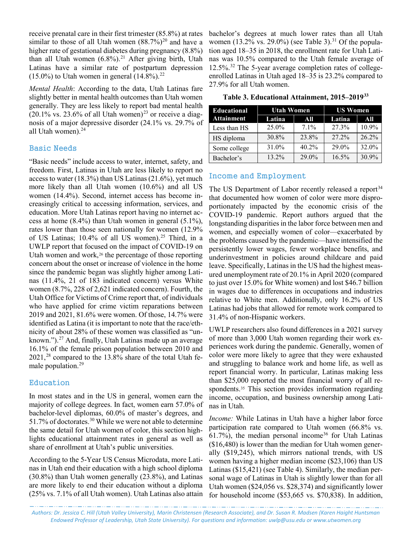receive prenatal care in their first trimester (85.8%) at rates similar to those of all Utah women  $(88.7%)^{20}$  $(88.7%)^{20}$  $(88.7%)^{20}$  and have a higher rate of gestational diabetes during pregnancy (8.8%) than all Utah women (6.8%).<sup>[21](#page-4-19)</sup> After giving birth, Utah Latinas have a similar rate of postpartum depression  $(15.0\%)$  to Utah women in general  $(14.8\%).^{22}$  $(14.8\%).^{22}$  $(14.8\%).^{22}$ 

*Mental Health*: According to the data, Utah Latinas fare slightly better in mental health outcomes than Utah women generally. They are less likely to report bad mental health  $(20.1\% \text{ vs. } 23.6\% \text{ of all Utah women})^{23}$  $(20.1\% \text{ vs. } 23.6\% \text{ of all Utah women})^{23}$  $(20.1\% \text{ vs. } 23.6\% \text{ of all Utah women})^{23}$  or receive a diagnosis of a major depressive disorder (24.1% vs. 29.7% of all Utah women).<sup>24</sup>

#### Basic Needs

"Basic needs" include access to water, internet, safety, and freedom. First, Latinas in Utah are less likely to report no access to water (18.3%) than US Latinas (21.6%), yet much more likely than all Utah women (10.6%) and all US women (14.4%). Second, internet access has become increasingly critical to accessing information, services, and education. More Utah Latinas report having no internet access at home (8.4%) than Utah women in general (5.1%), rates lower than those seen nationally for women (12.9% of US Latinas;  $10.4\%$  of all US women).<sup>[25](#page-4-23)</sup> Third, in a UWLP report that focused on the impact of COVID-19 on Utah women and work,<sup>[26](#page-4-24)</sup> the percentage of those reporting concern about the onset or increase of violence in the home since the pandemic began was slightly higher among Latinas (11.4%, 21 of 183 indicated concern) versus White women (8.7%, 228 of 2,621 indicated concern). Fourth, the Utah Office for Victims of Crime report that, of individuals who have applied for crime victim reparations between 2019 and 2021, 81.6% were women. Of those, 14.7% were identified as Latina (it is important to note that the race/ethnicity of about 28% of these women was classified as "unknown."). $27$  And, finally, Utah Latinas made up an average 16.1% of the female prison population between 2010 and 2021, [28](#page-4-26) compared to the 13.8% share of the total Utah fe-male population.<sup>[29](#page-4-27)</sup>

#### Education

In most states and in the US in general, women earn the majority of college degrees. In fact, women earn 57.0% of bachelor-level diplomas, 60.0% of master's degrees, and 51.7% of doctorates.<sup>30</sup> While we were not able to determine the same detail for Utah women of color, this section highlights educational attainment rates in general as well as share of enrollment at Utah's public universities.

According to the 5-Year US Census Microdata, more Latinas in Utah end their education with a high school diploma (30.8%) than Utah women generally (23.8%), and Latinas are more likely to end their education without a diploma (25% vs. 7.1% of all Utah women). Utah Latinas also attain bachelor's degrees at much lower rates than all Utah women (13.2% vs. 29.0%) (see Table 3).<sup>[31](#page-4-29)</sup> Of the population aged 18–35 in 2018, the enrollment rate for Utah Latinas was 10.5% compared to the Utah female average of 12.5%[.32](#page-4-30) The 5-year average completion rates of collegeenrolled Latinas in Utah aged 18–35 is 23.2% compared to 27.9% for all Utah women.

|  | Table 3. Educational Attainment, 2015–2019 <sup>33</sup> |  |  |
|--|----------------------------------------------------------|--|--|
|--|----------------------------------------------------------|--|--|

| Educational       | <b>Utah Women</b> |         | <b>US Women</b> |       |
|-------------------|-------------------|---------|-----------------|-------|
| <b>Attainment</b> | Latina            | All     | Latina          | All   |
| Less than HS      | 25.0%             | $7.1\%$ | 27.3%           | 10.9% |
| HS diploma        | 30.8%             | 23.8%   | 27.2%           | 26.2% |
| Some college      | 31.0%             | 40.2%   | 29.0%           | 32.0% |
| Bachelor's        | 13.2%             | 29.0%   | 16.5%           | 30.9% |

#### Income and Employment

The US Department of Labor recently released a report<sup>[34](#page-4-32)</sup> that documented how women of color were more disproportionately impacted by the economic crisis of the COVID-19 pandemic. Report authors argued that the longstanding disparities in the labor force between men and women, and especially women of color—exacerbated by the problems caused by the pandemic—have intensified the persistently lower wages, fewer workplace benefits, and underinvestment in policies around childcare and paid leave. Specifically, Latinas in the US had the highest measured unemployment rate of 20.1% in April 2020 (compared to just over 15.0% for White women) and lost \$46.7 billion in wages due to differences in occupations and industries relative to White men. Additionally, only 16.2% of US Latinas had jobs that allowed for remote work compared to 31.4% of non-Hispanic workers.

UWLP researchers also found differences in a 2021 survey of more than 3,000 Utah women regarding their work experiences work during the pandemic. Generally, women of color were more likely to agree that they were exhausted and struggling to balance work and home life, as well as report financial worry. In particular, Latinas making less than \$25,000 reported the most financial worry of all re-spondents.<sup>[35](#page-4-33)</sup> This section provides information regarding income, occupation, and business ownership among Latinas in Utah.

*Income:* While Latinas in Utah have a higher labor force participation rate compared to Utah women (66.8% vs. 61.7%), the median personal income<sup>[36](#page-4-34)</sup> for Utah Latinas (\$16,480) is lower than the median for Utah women generally (\$19,245), which mirrors national trends, with US women having a higher median income (\$23,106) than US Latinas (\$15,421) (see Table 4). Similarly, the median personal wage of Latinas in Utah is slightly lower than for all Utah women (\$24,056 vs. \$28,374) and significantly lower for household income (\$53,665 vs. \$70,838). In addition,

*Authors: Dr. Jessica C. Hill (Utah Valley University), Marin Christensen (Research Associate), and Dr. Susan R. Madsen (Karen Haight Huntsman Endowed Professor of Leadership, Utah State University). For questions and information[: uwlp@usu.edu](mailto:uwlp@usu.edu) or [www.utwomen.org](http://www.utwomen.org/)*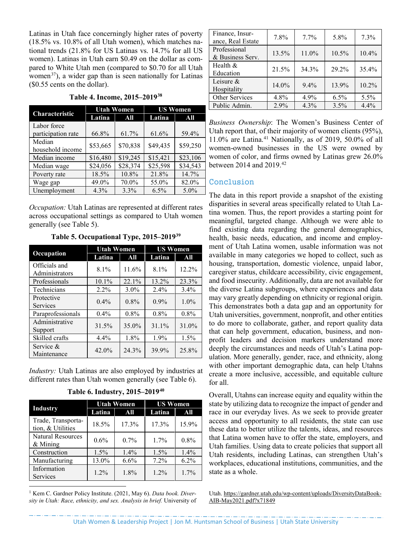Latinas in Utah face concerningly higher rates of poverty (18.5% vs. 10.8% of all Utah women), which matches national trends (21.8% for US Latinas vs. 14.7% for all US women). Latinas in Utah earn \$0.49 on the dollar as compared to White Utah men (compared to \$0.70 for all Utah women<sup>[37](#page-4-35)</sup>), a wider gap than is seen nationally for Latinas (\$0.55 cents on the dollar).

| Table 4. Income, 2015-2019 <sup>38</sup> |  |
|------------------------------------------|--|
|------------------------------------------|--|

|                                   | <b>Utah Women</b> |          | <b>US Women</b> |          |
|-----------------------------------|-------------------|----------|-----------------|----------|
| Characteristic                    | Latina            | All      | Latina          | All      |
| Labor force<br>participation rate | 66.8%             | 61.7%    | 61.6%           | 59.4%    |
| Median<br>household income        | \$53,665          | \$70,838 | \$49,435        | \$59,250 |
| Median income                     | \$16,480          | \$19,245 | \$15,421        | \$23,106 |
| Median wage                       | \$24,056          | \$28,374 | \$25,598        | \$34,543 |
| Poverty rate                      | 18.5%             | 10.8%    | 21.8%           | 14.7%    |
| Wage gap                          | 49.0%             | 70.0%    | 55.0%           | 82.0%    |
| Unemployment                      | $4.3\%$           | 3.3%     | $6.5\%$         | $5.0\%$  |

*Occupation:* Utah Latinas are represented at different rates across occupational settings as compared to Utah women generally (see Table 5).

| Table 5. Occupational Type, 2015-2019 <sup>39</sup> |
|-----------------------------------------------------|
|-----------------------------------------------------|

|                                 | <b>Utah Women</b> |         | <b>US Women</b> |         |
|---------------------------------|-------------------|---------|-----------------|---------|
| Occupation                      | Latina            | All     | Latina          | All     |
| Officials and<br>Administrators | 8.1%              | 11.6%   | $8.1\%$         | 12.2%   |
| Professionals                   | 10.1%             | 22.1%   | 13.2%           | 23.3%   |
| Technicians                     | $2.2\%$           | $3.0\%$ | $2.4\%$         | 3.4%    |
| Protective<br><b>Services</b>   | $0.4\%$           | $0.8\%$ | $0.9\%$         | $1.0\%$ |
| Paraprofessionals               | $0.4\%$           | $0.8\%$ | $0.8\%$         | $0.8\%$ |
| Administrative<br>Support       | 31.5%             | 35.0%   | $31.1\%$        | 31.0%   |
| Skilled crafts                  | 4.4%              | 1.8%    | 1.9%            | 1.5%    |
| Service &<br>Maintenance        | 42.0%             | 24.3%   | 39.9%           | 25.8%   |

*Industry:* Utah Latinas are also employed by industries at different rates than Utah women generally (see Table 6).

|                                         | <b>Utah Women</b> |         | <b>US Women</b> |         |
|-----------------------------------------|-------------------|---------|-----------------|---------|
| <b>Industry</b>                         | Latina            | All     | Latina          | All     |
| Trade, Transporta-<br>tion, & Utilities | 18.5%             | 17.3%   | $17.3\%$        | 15.9%   |
| Natural Resources<br>$&$ Mining         | $0.6\%$           | $0.7\%$ | 1.7%            | $0.8\%$ |
| Construction                            | $1.5\%$           | $1.4\%$ | $1.5\%$         | $1.4\%$ |
| Manufacturing                           | 13.0%             | 6.6%    | 7.2%            | 6.2%    |
| Information<br>Services                 | $1.2\%$           | 1.8%    | $1.2\%$         | $1.7\%$ |

**Table 6. Industry, 2015–2019[40](#page-4-38)**

<span id="page-3-0"></span><sup>1</sup> Kem C. Gardner Policy Institute. (2021, May 6). *Data book. Diversity in Utah: Race, ethnicity, and sex. Analysis in brief.* University of

 $\overline{a}$ 

| Finance, Insur-<br>ance, Real Estate | 7.8%  | $7.7\%$ | 5.8%    | 7.3%    |
|--------------------------------------|-------|---------|---------|---------|
| Professional<br>& Business Serv.     | 13.5% | 11.0%   | 10.5%   | 10.4%   |
| Health $&$<br>Education              | 21.5% | 34.3%   | 29.2%   | 35.4%   |
| Leisure $&$<br>Hospitality           | 14.0% | $9.4\%$ | 13.9%   | 10.2%   |
| Other Services                       | 4.8%  | $4.9\%$ | $6.5\%$ | $5.5\%$ |
| Public Admin.                        | 2.9%  | 4.3%    | 3.5%    | 4.4%    |

*Business Ownership*: The Women's Business Center of Utah report that, of their majority of women clients (95%), 11.0% are Latina. [41](#page-4-39) Nationally, as of 2019, 50.0% of all women-owned businesses in the US were owned by women of color, and firms owned by Latinas grew 26.0% between 2014 and 2019.[42](#page-4-40)

## Conclusion

The data in this report provide a snapshot of the existing disparities in several areas specifically related to Utah Latina women. Thus, the report provides a starting point for meaningful, targeted change. Although we were able to find existing data regarding the general demographics, health, basic needs, education, and income and employment of Utah Latina women, usable information was not available in many categories we hoped to collect, such as housing, transportation, domestic violence, unpaid labor, caregiver status, childcare accessibility, civic engagement, and food insecurity. Additionally, data are not available for the diverse Latina subgroups, where experiences and data may vary greatly depending on ethnicity or regional origin. This demonstrates both a data gap and an opportunity for Utah universities, government, nonprofit, and other entities to do more to collaborate, gather, and report quality data that can help government, education, business, and nonprofit leaders and decision markers understand more deeply the circumstances and needs of Utah's Latina population. More generally, gender, race, and ethnicity, along with other important demographic data, can help Utahns create a more inclusive, accessible, and equitable culture for all.

Overall, Utahns can increase equity and equality within the state by utilizing data to recognize the impact of gender and race in our everyday lives. As we seek to provide greater access and opportunity to all residents, the state can use these data to better utilize the talents, ideas, and resources that Latina women have to offer the state, employers, and Utah families. Using data to create policies that support all Utah residents, including Latinas, can strengthen Utah's workplaces, educational institutions, communities, and the state as a whole.

Utah[. https://gardner.utah.edu/wp-content/uploads/DiversityDataBook-](https://gardner.utah.edu/wp-content/uploads/DiversityDataBook-AIB-May2021.pdf?x71849)[AIB-May2021.pdf?x71849](https://gardner.utah.edu/wp-content/uploads/DiversityDataBook-AIB-May2021.pdf?x71849)